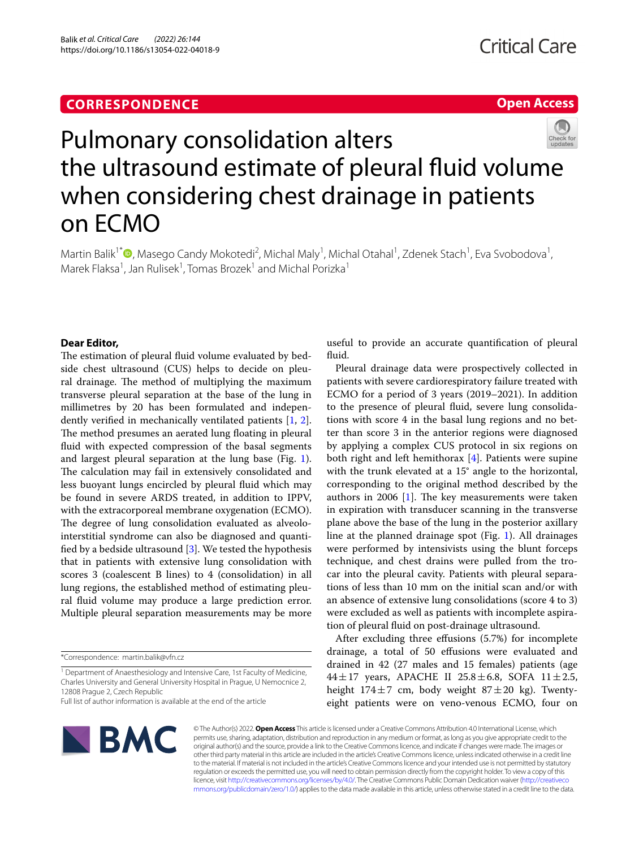# **CORRESPONDENCE**

# **Open Access**



# Pulmonary consolidation alters the ultrasound estimate of pleural fluid volume when considering chest drainage in patients on ECMO

Martin Balik<sup>1[\\*](http://orcid.org/0000-0003-1864-2143)</sup><sup>®</sup>, Masego Candy Mokotedi<sup>2</sup>, Michal Maly<sup>1</sup>, Michal Otahal<sup>1</sup>, Zdenek Stach<sup>1</sup>, Eva Svobodova<sup>1</sup>, Marek Flaksa<sup>1</sup>, Jan Rulisek<sup>1</sup>, Tomas Brozek<sup>1</sup> and Michal Porizka<sup>1</sup>

# **Dear Editor,**

The estimation of pleural fluid volume evaluated by bedside chest ultrasound (CUS) helps to decide on pleural drainage. The method of multiplying the maximum transverse pleural separation at the base of the lung in millimetres by 20 has been formulated and independently verifed in mechanically ventilated patients [[1,](#page-2-0) [2](#page-2-1)]. The method presumes an aerated lung floating in pleural fuid with expected compression of the basal segments and largest pleural separation at the lung base (Fig. [1](#page-1-0)). The calculation may fail in extensively consolidated and less buoyant lungs encircled by pleural fuid which may be found in severe ARDS treated, in addition to IPPV, with the extracorporeal membrane oxygenation (ECMO). The degree of lung consolidation evaluated as alveolointerstitial syndrome can also be diagnosed and quantifed by a bedside ultrasound [\[3](#page-2-2)]. We tested the hypothesis that in patients with extensive lung consolidation with scores 3 (coalescent B lines) to 4 (consolidation) in all lung regions, the established method of estimating pleural fuid volume may produce a large prediction error. Multiple pleural separation measurements may be more useful to provide an accurate quantifcation of pleural fluid.

Pleural drainage data were prospectively collected in patients with severe cardiorespiratory failure treated with ECMO for a period of 3 years (2019–2021). In addition to the presence of pleural fuid, severe lung consolidations with score 4 in the basal lung regions and no better than score 3 in the anterior regions were diagnosed by applying a complex CUS protocol in six regions on both right and left hemithorax [\[4](#page-3-0)]. Patients were supine with the trunk elevated at a 15° angle to the horizontal, corresponding to the original method described by the authors in 2006 [\[1\]](#page-2-0). The key measurements were taken in expiration with transducer scanning in the transverse plane above the base of the lung in the posterior axillary line at the planned drainage spot (Fig. [1\)](#page-1-0). All drainages were performed by intensivists using the blunt forceps technique, and chest drains were pulled from the trocar into the pleural cavity. Patients with pleural separations of less than 10 mm on the initial scan and/or with an absence of extensive lung consolidations (score 4 to 3) were excluded as well as patients with incomplete aspiration of pleural fuid on post-drainage ultrasound.

After excluding three efusions (5.7%) for incomplete drainage, a total of 50 efusions were evaluated and drained in 42 (27 males and 15 females) patients (age  $44 \pm 17$  years, APACHE II 25.8  $\pm$  6.8, SOFA 11  $\pm$  2.5, height  $174\pm7$  cm, body weight  $87\pm20$  kg). Twentyeight patients were on veno-venous ECMO, four on



© The Author(s) 2022. **Open Access** This article is licensed under a Creative Commons Attribution 4.0 International License, which permits use, sharing, adaptation, distribution and reproduction in any medium or format, as long as you give appropriate credit to the original author(s) and the source, provide a link to the Creative Commons licence, and indicate if changes were made. The images or other third party material in this article are included in the article's Creative Commons licence, unless indicated otherwise in a credit line to the material. If material is not included in the article's Creative Commons licence and your intended use is not permitted by statutory regulation or exceeds the permitted use, you will need to obtain permission directly from the copyright holder. To view a copy of this licence, visit [http://creativecommons.org/licenses/by/4.0/.](http://creativecommons.org/licenses/by/4.0/) The Creative Commons Public Domain Dedication waiver ([http://creativeco](http://creativecommons.org/publicdomain/zero/1.0/) [mmons.org/publicdomain/zero/1.0/](http://creativecommons.org/publicdomain/zero/1.0/)) applies to the data made available in this article, unless otherwise stated in a credit line to the data.

<sup>\*</sup>Correspondence: martin.balik@vfn.cz

<sup>&</sup>lt;sup>1</sup> Department of Anaesthesiology and Intensive Care, 1st Faculty of Medicine, Charles University and General University Hospital in Prague, U Nemocnice 2, 12808 Prague 2, Czech Republic

Full list of author information is available at the end of the article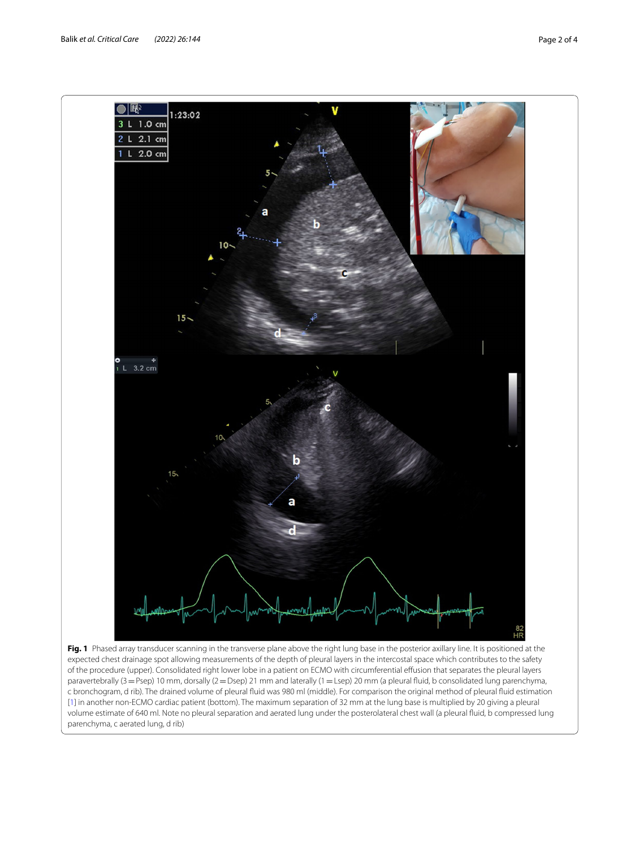

<span id="page-1-0"></span>paravertebrally (3=Psep) 10 mm, dorsally (2=Dsep) 21 mm and laterally (1=Lsep) 20 mm (a pleural fuid, b consolidated lung parenchyma, c bronchogram, d rib). The drained volume of pleural fuid was 980 ml (middle). For comparison the original method of pleural fuid estimation [\[1](#page-2-0)] in another non-ECMO cardiac patient (bottom). The maximum separation of 32 mm at the lung base is multiplied by 20 giving a pleural volume estimate of 640 ml. Note no pleural separation and aerated lung under the posterolateral chest wall (a pleural fuid, b compressed lung parenchyma, c aerated lung, d rib)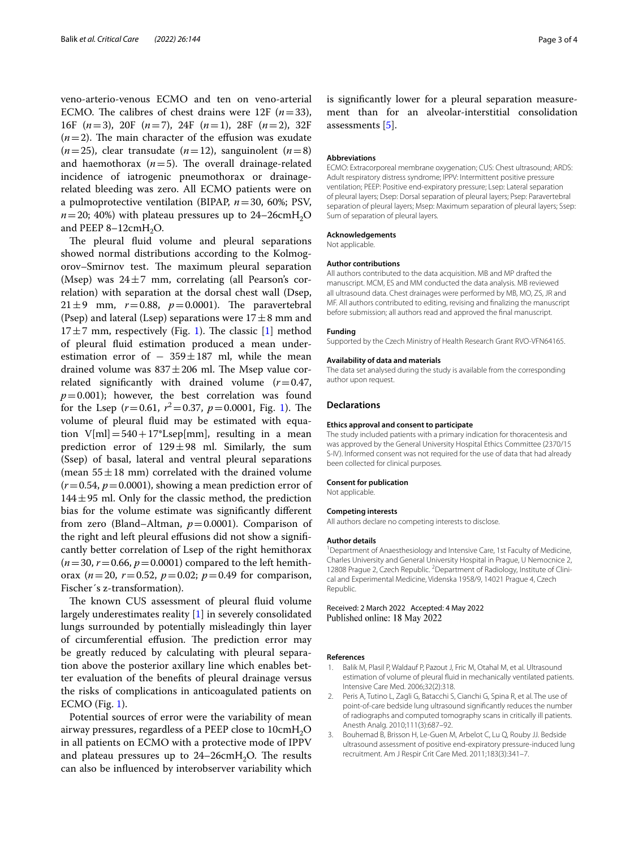veno-arterio-venous ECMO and ten on veno-arterial ECMO. The calibres of chest drains were 12F  $(n=33)$ , 16F (*n*=3), 20F (*n*=7), 24F (*n*=1), 28F (*n*=2), 32F  $(n=2)$ . The main character of the effusion was exudate  $(n=25)$ , clear transudate  $(n=12)$ , sanguinolent  $(n=8)$ and haemothorax  $(n=5)$ . The overall drainage-related incidence of iatrogenic pneumothorax or drainagerelated bleeding was zero. All ECMO patients were on a pulmoprotective ventilation (BIPAP, *n*=30, 60%; PSV,  $n=20$ ; 40%) with plateau pressures up to 24–26cmH<sub>2</sub>O and PEEP  $8-12$ cmH<sub>2</sub>O.

The pleural fluid volume and pleural separations showed normal distributions according to the Kolmogorov–Smirnov test. The maximum pleural separation (Msep) was  $24\pm7$  mm, correlating (all Pearson's correlation) with separation at the dorsal chest wall (Dsep, 21 $\pm$ 9 mm,  $r = 0.88$ ,  $p = 0.0001$ ). The paravertebral (Psep) and lateral (Lsep) separations were  $17 \pm 8$  mm and  $17±7$  mm, respectively (Fig. [1\)](#page-1-0). The classic [[1\]](#page-2-0) method of pleural fuid estimation produced a mean underestimation error of  $-359 \pm 187$  ml, while the mean drained volume was  $837 \pm 206$  ml. The Msep value correlated signifcantly with drained volume (*r*=0.47,  $p=0.001$ ); however, the best correlation was found for the Lsep  $(r=0.61, r^2=0.37, p=0.0001,$  Fig. [1\)](#page-1-0). The volume of pleural fuid may be estimated with equation  $V[m] = 540 + 17*Lsep[mm]$ , resulting in a mean prediction error of  $129 \pm 98$  ml. Similarly, the sum (Ssep) of basal, lateral and ventral pleural separations (mean  $55 \pm 18$  mm) correlated with the drained volume  $(r=0.54, p=0.0001)$ , showing a mean prediction error of  $144 \pm 95$  ml. Only for the classic method, the prediction bias for the volume estimate was signifcantly diferent from zero (Bland–Altman,  $p=0.0001$ ). Comparison of the right and left pleural efusions did not show a signifcantly better correlation of Lsep of the right hemithorax  $(n=30, r=0.66, p=0.0001)$  compared to the left hemithorax ( $n=20$ ,  $r=0.52$ ,  $p=0.02$ ;  $p=0.49$  for comparison, Fischer´s z-transformation).

The known CUS assessment of pleural fluid volume largely underestimates reality [\[1](#page-2-0)] in severely consolidated lungs surrounded by potentially misleadingly thin layer of circumferential effusion. The prediction error may be greatly reduced by calculating with pleural separation above the posterior axillary line which enables better evaluation of the benefts of pleural drainage versus the risks of complications in anticoagulated patients on ECMO (Fig. [1](#page-1-0)).

Potential sources of error were the variability of mean airway pressures, regardless of a PEEP close to 10cmH<sub>2</sub>O in all patients on ECMO with a protective mode of IPPV and plateau pressures up to  $24-26$ cmH<sub>2</sub>O. The results can also be infuenced by interobserver variability which

is signifcantly lower for a pleural separation measurement than for an alveolar-interstitial consolidation assessments [[5\]](#page-3-1).

### **Abbreviations**

ECMO: Extracorporeal membrane oxygenation; CUS: Chest ultrasound; ARDS: Adult respiratory distress syndrome; IPPV: Intermittent positive pressure ventilation; PEEP: Positive end-expiratory pressure; Lsep: Lateral separation of pleural layers; Dsep: Dorsal separation of pleural layers; Psep: Paravertebral separation of pleural layers; Msep: Maximum separation of pleural layers; Ssep: Sum of separation of pleural layers.

#### **Acknowledgements**

Not applicable.

#### **Author contributions**

All authors contributed to the data acquisition. MB and MP drafted the manuscript. MCM, ES and MM conducted the data analysis. MB reviewed all ultrasound data. Chest drainages were performed by MB, MO, ZS, JR and MF. All authors contributed to editing, revising and fnalizing the manuscript before submission; all authors read and approved the fnal manuscript.

#### **Funding**

Supported by the Czech Ministry of Health Research Grant RVO-VFN64165.

#### **Availability of data and materials**

The data set analysed during the study is available from the corresponding author upon request.

## **Declarations**

## **Ethics approval and consent to participate**

The study included patients with a primary indication for thoracentesis and was approved by the General University Hospital Ethics Committee (2370/15 S-IV). Informed consent was not required for the use of data that had already been collected for clinical purposes.

#### **Consent for publication**

Not applicable.

## **Competing interests**

All authors declare no competing interests to disclose.

#### **Author details**

<sup>1</sup> Department of Anaesthesiology and Intensive Care, 1st Faculty of Medicine, Charles University and General University Hospital in Prague, U Nemocnice 2, 12808 Prague 2, Czech Republic. <sup>2</sup> Department of Radiology, Institute of Clinical and Experimental Medicine, Videnska 1958/9, 14021 Prague 4, Czech Republic.

Received: 2 March 2022 Accepted: 4 May 2022 Published online: 18 May 2022

#### **References**

- <span id="page-2-0"></span>1. Balik M, Plasil P, Waldauf P, Pazout J, Fric M, Otahal M, et al. Ultrasound estimation of volume of pleural fuid in mechanically ventilated patients. Intensive Care Med. 2006;32(2):318.
- <span id="page-2-1"></span>2. Peris A, Tutino L, Zagli G, Batacchi S, Cianchi G, Spina R, et al. The use of point-of-care bedside lung ultrasound signifcantly reduces the number of radiographs and computed tomography scans in critically ill patients. Anesth Analg. 2010;111(3):687–92.
- <span id="page-2-2"></span>3. Bouhemad B, Brisson H, Le-Guen M, Arbelot C, Lu Q, Rouby JJ. Bedside ultrasound assessment of positive end-expiratory pressure-induced lung recruitment. Am J Respir Crit Care Med. 2011;183(3):341–7.